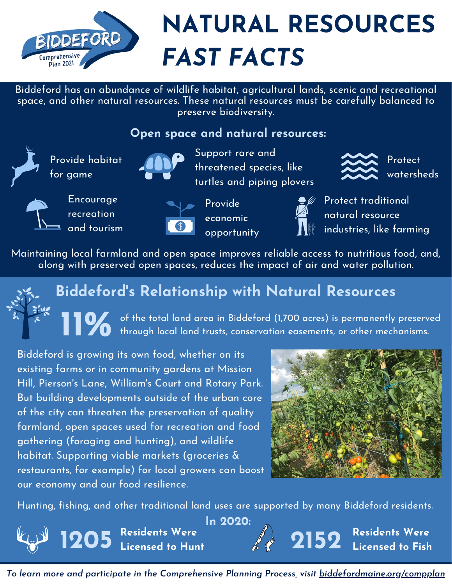

Biddeford has an abundance of wildlife habitat, agricultural lands, scenic and recreational space, and other natural resources. These natural resources must be carefully balanced to preserve biodiversity.

#### **Open space and natural resources:**



Provide habitat for game



Support rare and threatened species, like turtles and piping plovers



Protect watersheds



Encourage recreation and tourism



Provide economic opportunity



Protect traditional natural resource industries, like farming

Maintaining local farmland and open space improves reliable access to nutritious food, and, along with preserved open spaces, reduces the impact of air and water pollution.



# **Biddeford's Relationship with Natural Resources**

11% of the of the total land area in Biddeford (1,700 acres) is permanently preserved through local land trusts, conservation easements, or other mechanisms.

Biddeford is growing its own food, whether on its existing farms or in community gardens at Mission Hill, Pierson's Lane, William's Court and Rotary Park. But building developments outside of the urban core of the city can threaten the preservation of quality farmland, open spaces used for recreation and food gathering (foraging and hunting), and wildlife habitat. Supporting viable markets (groceries & restaurants, for example) for local growers can boost our economy and our food resilience.



Hunting, fishing, and other traditional land uses are supported by many Biddeford residents.



*To learn more and participate in the Comprehensive Planning Process, visit biddefordmaine.org/compplan*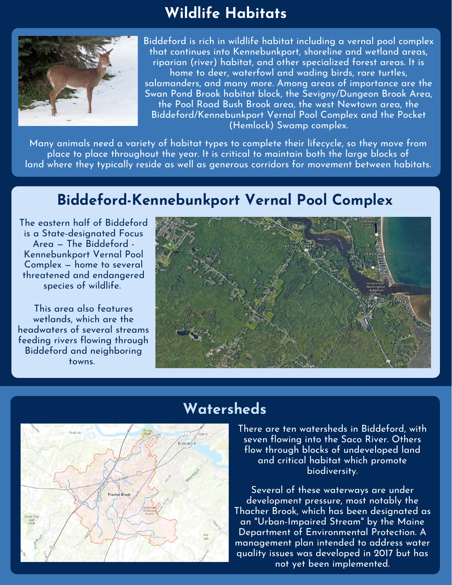## **Wildlife Habitats**



Biddeford is rich in wildlife habitat including a vernal pool complex that continues into Kennebunkport, shoreline and wetland areas, riparian (river) habitat, and other specialized forest areas. It is home to deer, waterfowl and wading birds, rare turtles, salamanders, and many more. Among areas of importance are the Swan Pond Brook habitat block, the Sevigny/Dungeon Brook Area, the Pool Road Bush Brook area, the west Newtown area, the Biddeford/Kennebunkport Vernal Pool Complex and the Pocket (Hemlock) Swamp complex.

Many animals need a variety of habitat types to complete their lifecycle, so they move from place to place throughout the year. It is critical to maintain both the large blocks of land where they typically reside as well as generous corridors for movement between habitats.

## **Biddeford-Kennebunkport Vernal Pool Complex**

The eastern half of Biddeford is a State-designated Focus Area — The Biddeford - Kennebunkport Vernal Pool Complex — home to several threatened and endangered species of wildlife.

This area also features wetlands, which are the headwaters of several streams feeding rivers flowing through Biddeford and neighboring towns.





### **Watersheds**

There are ten watersheds in Biddeford, with seven flowing into the Saco River. Others flow through blocks of undeveloped land and critical habitat which promote biodiversity.

Several of these waterways are under development pressure, most notably the Thacher Brook, which has been designated as an "Urban-Impaired Stream" by the Maine Department of Environmental Protection. A management plan intended to address water quality issues was developed in 2017 but has not yet been implemented.